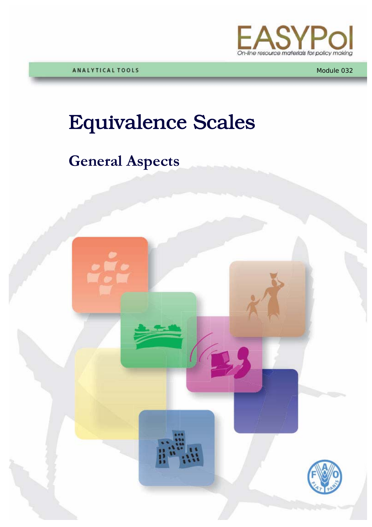

Module 032

# Equivalence Scales

# **General Aspects**

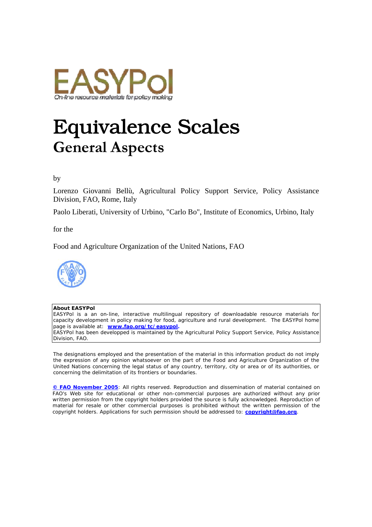

# Equivalence Scales **General Aspects**

#### by

Lorenzo Giovanni Bellù, Agricultural Policy Support Service, Policy Assistance Division, FAO, Rome, Italy

Paolo Liberati, University of Urbino, "Carlo Bo", Institute of Economics, Urbino, Italy

for the

Food and Agriculture Organization of the United Nations, FAO



#### **About EASYPol**

EASYPol is a an on-line, interactive multilingual repository of downloadable resource materials for capacity development in policy making for food, agriculture and rural development. The EASYPol home page is available at: *[www.fao.org/tc/easypol](http://www.fao.org/tc/easypol).* EASYPol has been developped is maintained by the Agricultural Policy Support Service, Policy Assistance

Division, FAO. The designations employed and the presentation of the material in this information product do not imply

the expression of any opinion whatsoever on the part of the Food and Agriculture Organization of the United Nations concerning the legal status of any country, territory, city or area or of its authorities, or concerning the delimitation of its frontiers or boundaries.

**[© FAO November 2005](http://www.fao.org/copyright_EN.htm)**: All rights reserved. Reproduction and dissemination of material contained on FAO's Web site for educational or other non-commercial purposes are authorized without any prior written permission from the copyright holders provided the source is fully acknowledged. Reproduction of material for resale or other commercial purposes is prohibited without the written permission of the copyright holders. Applications for such permission should be addressed to: **[copyright@fao.org](mailto:copyright@fao.org)**.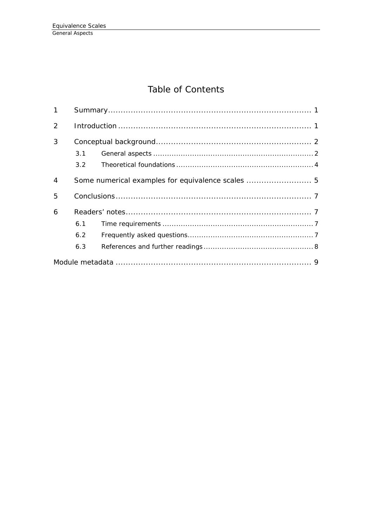# Table of Contents

| $\mathbf 1$    |               |                                                   |  |  |
|----------------|---------------|---------------------------------------------------|--|--|
| 2              |               |                                                   |  |  |
| 3              |               |                                                   |  |  |
|                | 3.1           |                                                   |  |  |
|                | $3.2^{\circ}$ |                                                   |  |  |
| $\overline{4}$ |               | Some numerical examples for equivalence scales  5 |  |  |
| 5              |               |                                                   |  |  |
| 6              |               |                                                   |  |  |
|                | 6.1           |                                                   |  |  |
|                | 6.2           |                                                   |  |  |
|                | 6.3           |                                                   |  |  |
|                |               |                                                   |  |  |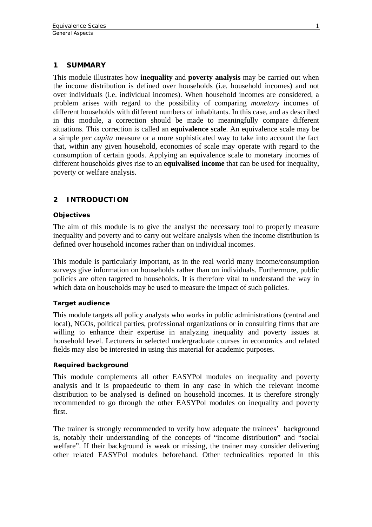#### <span id="page-4-0"></span>**1 SUMMARY**

This module illustrates how **inequality** and **poverty analysis** may be carried out when the income distribution is defined over households (i.e. household incomes) and not over individuals (i.e. individual incomes). When household incomes are considered, a problem arises with regard to the possibility of comparing *monetary* incomes of different households with different numbers of inhabitants. In this case, and as described in this module, a correction should be made to meaningfully compare different situations. This correction is called an **equivalence scale**. An equivalence scale may be a simple *per capita* measure or a more sophisticated way to take into account the fact that, within any given household, economies of scale may operate with regard to the consumption of certain goods. Applying an equivalence scale to monetary incomes of different households gives rise to an **equivalised income** that can be used for inequality, poverty or welfare analysis.

### **2 INTRODUCTION**

#### **Objectives**

The aim of this module is to give the analyst the necessary tool to properly measure inequality and poverty and to carry out welfare analysis when the income distribution is defined over household incomes rather than on individual incomes.

This module is particularly important, as in the real world many income/consumption surveys give information on households rather than on individuals. Furthermore, public policies are often targeted to households. It is therefore vital to understand the way in which data on households may be used to measure the impact of such policies.

#### **Target audience**

This module targets all policy analysts who works in public administrations (central and local), NGOs, political parties, professional organizations or in consulting firms that are willing to enhance their expertise in analyzing inequality and poverty issues at household level. Lecturers in selected undergraduate courses in economics and related fields may also be interested in using this material for academic purposes.

#### **Required background**

This module complements all other EASYPol modules on inequality and poverty analysis and it is propaedeutic to them in any case in which the relevant income distribution to be analysed is defined on household incomes. It is therefore strongly recommended to go through the other EASYPol modules on inequality and poverty first.

The trainer is strongly recommended to verify how adequate the trainees' background is, notably their understanding of the concepts of "income distribution" and "social welfare". If their background is weak or missing, the trainer may consider delivering other related EASYPol modules beforehand. Other technicalities reported in this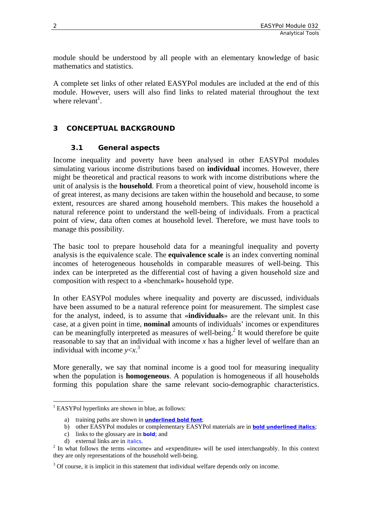<span id="page-5-0"></span>module should be understood by all people with an elementary knowledge of basic mathematics and statistics.

A complete set links of other related EASYPol modules are included at the end of this module. However, users will also find links to related material throughout the text where relevant<sup>1</sup>.

### **3 CONCEPTUAL BACKGROUND**

#### **3.1 General aspects**

Income inequality and poverty have been analysed in other EASYPol modules simulating various income distributions based on **individual** incomes. However, there might be theoretical and practical reasons to work with income distributions where the unit of analysis is the **household**. From a theoretical point of view, household income is of great interest, as many decisions are taken within the household and because, to some extent, resources are shared among household members. This makes the household a natural reference point to understand the well-being of individuals. From a practical point of view, data often comes at household level. Therefore, we must have tools to manage this possibility.

The basic tool to prepare household data for a meaningful inequality and poverty analysis is the equivalence scale. The **equivalence scale** is an index converting nominal incomes of heterogeneous households in comparable measures of well-being. This index can be interpreted as the differential cost of having a given household size and composition with respect to a «benchmark» household type.

In other EASYPol modules where inequality and poverty are discussed, individuals have been assumed to be a natural reference point for measurement. The simplest case for the analyst, indeed, is to assume that «**individuals**» are the relevant unit. In this case, at a given point in time, **nominal** amounts of individuals' incomes or expenditures can be meaningfully interpreted as measures of well-being.<sup>[2](#page-5-2)</sup> It would therefore be quite reasonable to say that an individual with income *x* has a higher level of welfare than an individual with income  $y < x$ .<sup>[3](#page-5-3)</sup>

More generally, we say that nominal income is a good tool for measuring inequality when the population is **homogeneous**. A population is homogeneous if all households forming this population share the same relevant socio-demographic characteristics.

<span id="page-5-1"></span> $\overline{a}$ <sup>1</sup> EASYPol hyperlinks are shown in blue, as follows:

a) training paths are shown in **underlined bold font**;

b) other EASYPol modules or complementary EASYPol materials are in *bold underlined italics*;

c) links to the glossary are in **bold**; and

d) external links are in *italics*. 2

<span id="page-5-2"></span><sup>&</sup>lt;sup>2</sup> In what follows the terms «income» and «expenditure» will be used interchangeably. In this context they are only representations of the household well-being.

<span id="page-5-3"></span> $3$  Of course, it is implicit in this statement that individual welfare depends only on income.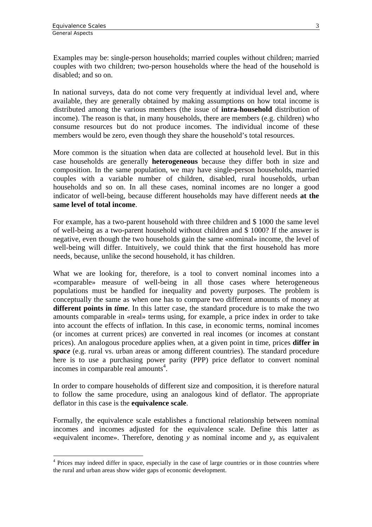$\overline{a}$ 

Examples may be: single-person households; married couples without children; married couples with two children; two-person households where the head of the household is disabled; and so on.

In national surveys, data do not come very frequently at individual level and, where available, they are generally obtained by making assumptions on how total income is distributed among the various members (the issue of **intra-household** distribution of income). The reason is that, in many households, there are members (e.g. children) who consume resources but do not produce incomes. The individual income of these members would be zero, even though they share the household's total resources.

More common is the situation when data are collected at household level. But in this case households are generally **heterogeneous** because they differ both in size and composition. In the same population, we may have single-person households, married couples with a variable number of children, disabled, rural households, urban households and so on. In all these cases, nominal incomes are no longer a good indicator of well-being, because different households may have different needs **at the same level of total income**.

For example, has a two-parent household with three children and \$ 1000 the same level of well-being as a two-parent household without children and \$ 1000? If the answer is negative, even though the two households gain the same «nominal» income, the level of well-being will differ. Intuitively, we could think that the first household has more needs, because, unlike the second household, it has children.

What we are looking for, therefore, is a tool to convert nominal incomes into a «comparable» measure of well-being in all those cases where heterogeneous populations must be handled for inequality and poverty purposes. The problem is conceptually the same as when one has to compare two different amounts of money at different points in *time*. In this latter case, the standard procedure is to make the two amounts comparable in «real» terms using, for example, a price index in order to take into account the effects of inflation. In this case, in economic terms, nominal incomes (or incomes at current prices) are converted in real incomes (or incomes at constant prices). An analogous procedure applies when, at a given point in time, prices **differ in**  *space* (e.g. rural vs. urban areas or among different countries). The standard procedure here is to use a purchasing power parity (PPP) price deflator to convert nominal incomes in comparable real amounts<sup>[4](#page-6-0)</sup>.

In order to compare households of different size and composition, it is therefore natural to follow the same procedure, using an analogous kind of deflator. The appropriate deflator in this case is the **equivalence scale**.

Formally, the equivalence scale establishes a functional relationship between nominal incomes and incomes adjusted for the equivalence scale. Define this latter as «equivalent income». Therefore, denoting *y* as nominal income and *y*e as equivalent

<span id="page-6-0"></span><sup>&</sup>lt;sup>4</sup> Prices may indeed differ in space, especially in the case of large countries or in those countries where the rural and urban areas show wider gaps of economic development.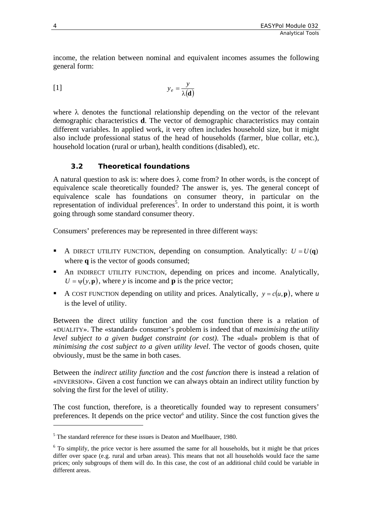<span id="page-7-0"></span>income, the relation between nominal and equivalent incomes assumes the following general form:

$$
y_e = \frac{y}{\lambda(\mathbf{d})}
$$

where  $\lambda$  denotes the functional relationship depending on the vector of the relevant demographic characteristics **d**. The vector of demographic characteristics may contain different variables. In applied work, it very often includes household size, but it might also include professional status of the head of households (farmer, blue collar, etc.), household location (rural or urban), health conditions (disabled), etc.

### **3.2 Theoretical foundations**

A natural question to ask is: where does  $\lambda$  come from? In other words, is the concept of equivalence scale theoretically founded? The answer is, yes. The general concept of equivalence scale has foundations on consumer theory, in particular on the representation of individual preferences<sup>[5](#page-7-1)</sup>. In order to understand this point, it is worth going through some standard consumer theory.

Consumers' preferences may be represented in three different ways:

- A DIRECT UTILITY FUNCTION, depending on consumption. Analytically:  $U = U(q)$ where **q** is the vector of goods consumed;
- An INDIRECT UTILITY FUNCTION, depending on prices and income. Analytically,  $U = \psi(y, \mathbf{p})$ , where *y* is income and **p** is the price vector;
- A COST FUNCTION depending on utility and prices. Analytically,  $y = c(u, \mathbf{p})$ , where *u* is the level of utility.

Between the direct utility function and the cost function there is a relation of «DUALITY». The «standard» consumer's problem is indeed that of *maximising the utility level subject to a given budget constraint (or cost)*. The «dual» problem is that of *minimising the cost subject to a given utility level*. The vector of goods chosen, quite obviously, must be the same in both cases.

Between the *indirect utility function* and the *cost function* there is instead a relation of «INVERSION». Given a cost function we can always obtain an indirect utility function by solving the first for the level of utility.

The cost function, therefore, is a theoretically founded way to represent consumers' preferences. It depends on the price vector<sup>6</sup> and utility. Since the cost function gives the

 $\overline{a}$ 

<span id="page-7-1"></span><sup>&</sup>lt;sup>5</sup> The standard reference for these issues is Deaton and Muellbauer, 1980.

<span id="page-7-2"></span><sup>&</sup>lt;sup>6</sup> To simplify, the price vector is here assumed the same for all households, but it might be that prices differ over space (e.g. rural and urban areas). This means that not all households would face the same prices; only subgroups of them will do. In this case, the cost of an additional child could be variable in different areas.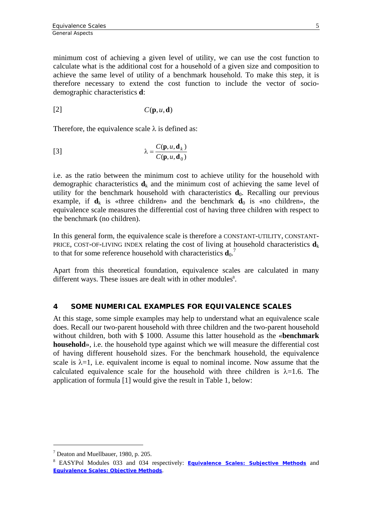<span id="page-8-0"></span>minimum cost of achieving a given level of utility, we can use the cost function to calculate what is the additional cost for a household of a given size and composition to achieve the same level of utility of a benchmark household. To make this step, it is therefore necessary to extend the cost function to include the vector of sociodemographic characteristics **d**:

$$
[2] \tC(\mathbf{p}, u, \mathbf{d})
$$

Therefore, the equivalence scale  $\lambda$  is defined as:

[3] 
$$
\lambda = \frac{C(\mathbf{p}, u, \mathbf{d}_k)}{C(\mathbf{p}, u, \mathbf{d}_0)}
$$

i.e. as the ratio between the minimum cost to achieve utility for the household with demographic characteristics  $\mathbf{d}_k$  and the minimum cost of achieving the same level of utility for the benchmark household with characteristics  $\mathbf{d}_0$ . Recalling our previous example, if  $\mathbf{d}_k$  is «three children» and the benchmark  $\mathbf{d}_0$  is «no children», the equivalence scale measures the differential cost of having three children with respect to the benchmark (no children).

In this general form, the equivalence scale is therefore a CONSTANT-UTILITY, CONSTANT-PRICE, COST-OF-LIVING INDEX relating the cost of living at household characteristics  $\mathbf{d}_k$ to that for some reference household with characteristics  $\mathbf{d}_0$ .<sup>[7](#page-8-1)</sup>

Apart from this theoretical foundation, equivalence scales are calculated in many different ways. These issues are dealt with in other modules<sup>8</sup>.

#### **4 SOME NUMERICAL EXAMPLES FOR EQUIVALENCE SCALES**

At this stage, some simple examples may help to understand what an equivalence scale does. Recall our two-parent household with three children and the two-parent household without children, both with \$ 1000. Assume this latter household as the «**benchmark household**», i.e. the household type against which we will measure the differential cost of having different household sizes. For the benchmark household, the equivalence scale is  $\lambda = 1$ , i.e. equivalent income is equal to nominal income. Now assume that the calculated equivalence scale for the household with three children is  $\lambda = 1.6$ . The application of formula [1] would give the result in Table 1, below:

 $\overline{a}$ 

<span id="page-8-1"></span><sup>&</sup>lt;sup>7</sup> Deaton and Muellbauer, 1980, p. 205.

<span id="page-8-2"></span><sup>8</sup> EASYPol Modules 033 and 034 respectively: *Equivalence [Scales: Subjective Methods](http://www.fao.org/docs/up/easypol/326/equv_scales_subjectmtd_033EN.pdf)* and *[Equivalence Scales: Objective Methods](http://www.fao.org/docs/up/easypol/327/equivalencescls-objective_methods_034EN.pdf)*.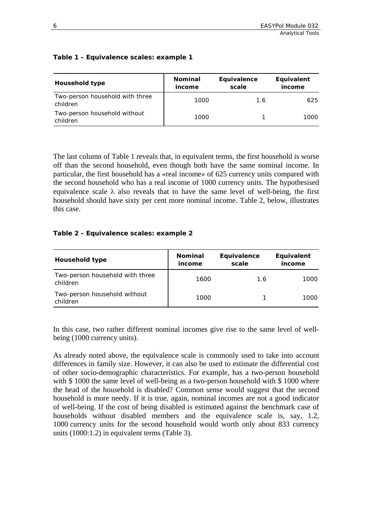#### **Table 1 - Equivalence scales: example 1**

| <b>Household type</b>                       | <b>Nominal</b><br>income | Equivalence<br>scale | Equivalent<br>income |
|---------------------------------------------|--------------------------|----------------------|----------------------|
| Two-person household with three<br>children | 1000                     | 1.6                  | 625                  |
| Two-person household without<br>children    | 1000                     |                      | 1000.                |

The last column of Table 1 reveals that, in equivalent terms, the first household is worse off than the second household, even though both have the same nominal income. In particular, the first household has a «real income» of 625 currency units compared with the second household who has a real income of 1000 currency units. The hypothesised equivalence scale  $\lambda$  also reveals that to have the same level of well-being, the first household should have sixty per cent more nominal income. Table 2, below, illustrates this case.

#### **Table 2 - Equivalence scales: example 2**

| <b>Household type</b>                       | <b>Nominal</b><br>income | Equivalence<br>scale | Equivalent<br>income |
|---------------------------------------------|--------------------------|----------------------|----------------------|
| Two-person household with three<br>children | 1600                     | 1.6                  | 1000.                |
| Two-person household without<br>children    | 1000                     |                      | 1000.                |

In this case, two rather different nominal incomes give rise to the same level of wellbeing (1000 currency units).

As already noted above, the equivalence scale is commonly used to take into account differences in family size. However, it can also be used to estimate the differential cost of other socio-demographic characteristics. For example, has a two-person household with \$1000 the same level of well-being as a two-person household with \$1000 where the head of the household is disabled? Common sense would suggest that the second household is more needy. If it is true, again, nominal incomes are not a good indicator of well-being. If the cost of being disabled is estimated against the benchmark case of households without disabled members and the equivalence scale is, say, 1.2, 1000 currency units for the second household would worth only about 833 currency units (1000:1.2) in equivalent terms (Table 3).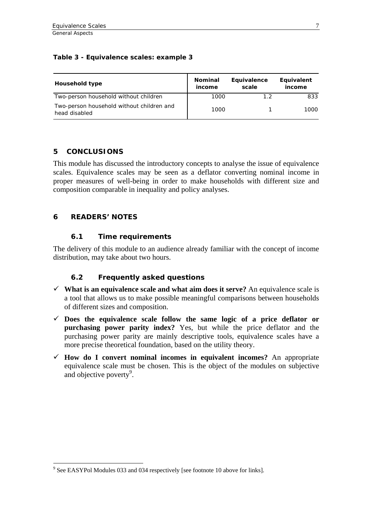#### <span id="page-10-0"></span>**Table 3 - Equivalence scales: example 3**

| Household type                                             | <b>Nominal</b><br>income | Equivalence<br>scale | Equivalent<br>income |
|------------------------------------------------------------|--------------------------|----------------------|----------------------|
| Two-person household without children                      | 1000                     | 12                   | 833                  |
| Two-person household without children and<br>head disabled | 1000                     |                      | 1000                 |

### **5 CONCLUSIONS**

This module has discussed the introductory concepts to analyse the issue of equivalence scales. Equivalence scales may be seen as a deflator converting nominal income in proper measures of well-being in order to make households with different size and composition comparable in inequality and policy analyses.

### **6 READERS' NOTES**

#### **6.1 Time requirements**

The delivery of this module to an audience already familiar with the concept of income distribution, may take about two hours.

## **6.2 Frequently asked questions**

- $\checkmark$  What is an equivalence scale and what aim does it serve? An equivalence scale is a tool that allows us to make possible meaningful comparisons between households of different sizes and composition.
- $\checkmark$  Does the equivalence scale follow the same logic of a price deflator or **purchasing power parity index?** Yes, but while the price deflator and the purchasing power parity are mainly descriptive tools, equivalence scales have a more precise theoretical foundation, based on the utility theory.
- <span id="page-10-1"></span> $\checkmark$  How do I convert nominal incomes in equivalent incomes? An appropriate equivalence scale must be chosen. This is the object of the modules on subjective and objective poverty $9$ .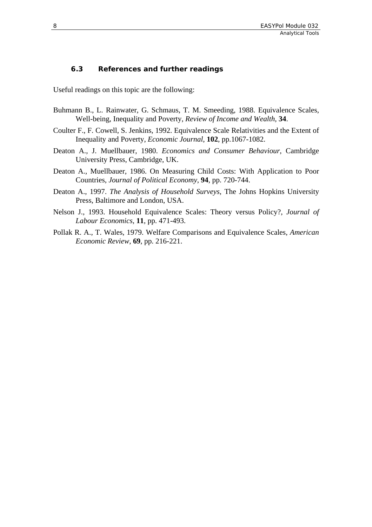#### <span id="page-11-0"></span>**6.3 References and further readings**

Useful readings on this topic are the following:

- Buhmann B., L. Rainwater, G. Schmaus, T. M. Smeeding, 1988. Equivalence Scales, Well-being, Inequality and Poverty, *Review of Income and Wealth*, **34**.
- Coulter F., F. Cowell, S. Jenkins, 1992. Equivalence Scale Relativities and the Extent of Inequality and Poverty, *Economic Journal*, **102**, pp.1067-1082.
- Deaton A., J. Muellbauer, 1980. *Economics and Consumer Behaviour*, Cambridge University Press, Cambridge, UK.
- Deaton A., Muellbauer, 1986. On Measuring Child Costs: With Application to Poor Countries, *Journal of Political Economy*, **94**, pp. 720-744.
- Deaton A., 1997. *The Analysis of Household Surveys*, The Johns Hopkins University Press, Baltimore and London, USA.
- Nelson J., 1993. Household Equivalence Scales: Theory versus Policy?, *Journal of Labour Economics*, **11**, pp. 471-493.
- Pollak R. A., T. Wales, 1979. Welfare Comparisons and Equivalence Scales, *American Economic Review*, **69**, pp. 216-221.